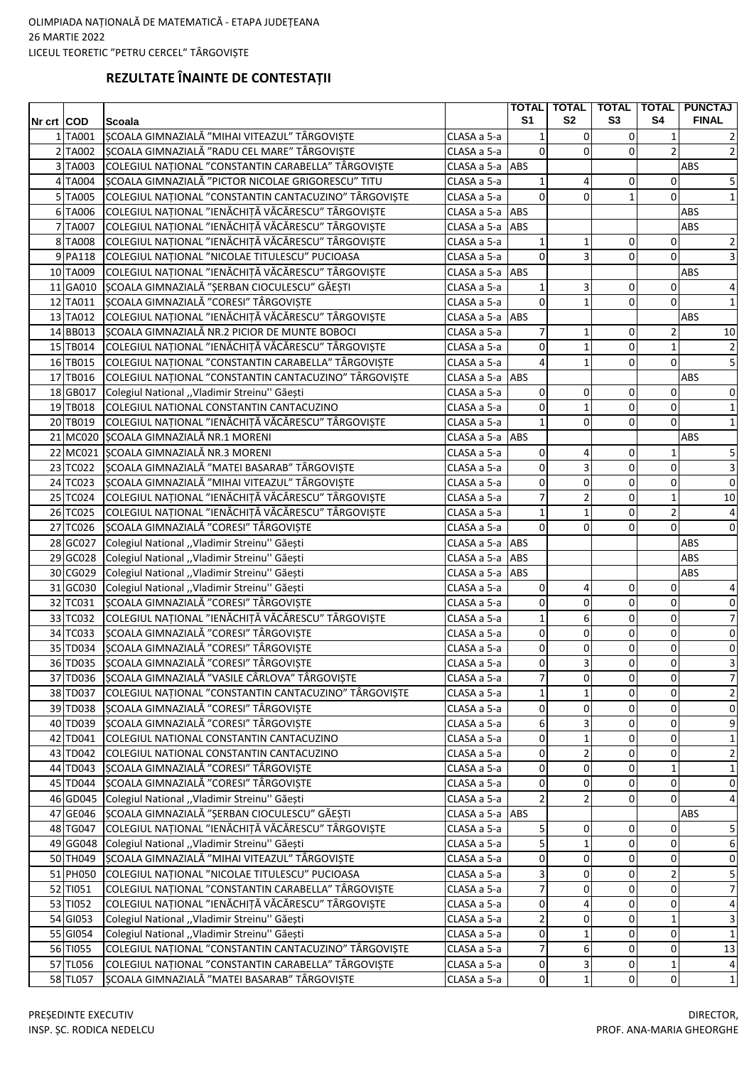## REZULTATE ÎNAINTE DE CONTESTAȚII

|            |          |                                                       |                 |                         |                |                |                | TOTAL   TOTAL   TOTAL   TOTAL   PUNCTAJ |
|------------|----------|-------------------------------------------------------|-----------------|-------------------------|----------------|----------------|----------------|-----------------------------------------|
| Nr crt COD |          | Scoala                                                |                 | S <sub>1</sub>          | S <sub>2</sub> | S <sub>3</sub> | S4             | <b>FINAL</b>                            |
|            | 1TA001   | ȘCOALA GIMNAZIALĂ "MIHAI VITEAZUL" TÂRGOVIȘTE         | CLASA a 5-a     | $\mathbf{1}$            | $\overline{0}$ | $\overline{0}$ | $\mathbf{1}$   | $\overline{2}$                          |
|            | 2 TA002  | ȘCOALA GIMNAZIALĂ "RADU CEL MARE" TÂRGOVIȘTE          | CLASA a 5-a     | $\Omega$                | $\Omega$       | 0              | $\overline{2}$ | 2                                       |
|            | 3 TA003  | COLEGIUL NAȚIONAL "CONSTANTIN CARABELLA" TÂRGOVIȘTE   | CLASA a 5-a     | ABS                     |                |                |                | ABS                                     |
|            | 4 TA004  | SCOALA GIMNAZIALĂ "PICTOR NICOLAE GRIGORESCU" TITU    | CLASA a 5-a     | $\mathbf{1}$            | 4              | 0              | $\mathbf 0$    | $\mathsf S$                             |
|            | 5 TA005  | COLEGIUL NAȚIONAL "CONSTANTIN CANTACUZINO" TÂRGOVIȘTE | CLASA a 5-a     | $\Omega$                | $\Omega$       |                | $\Omega$       | $1\vert$                                |
|            | 6 TA006  | COLEGIUL NAȚIONAL "IENĂCHIȚĂ VĂCĂRESCU" TÂRGOVIȘTE    | CLASA a 5-a ABS |                         |                |                |                | ABS                                     |
|            | 7 TA007  | COLEGIUL NAȚIONAL "IENĂCHIȚĂ VĂCĂRESCU" TÂRGOVIȘTE    | CLASA a 5-a     | ABS                     |                |                |                | ABS                                     |
|            | 8 TA008  | COLEGIUL NAȚIONAL "IENĂCHIȚĂ VĂCĂRESCU" TÂRGOVIȘTE    | CLASA a 5-a     | $\mathbf{1}$            | 1              | 0              | 0              | $\mathbf{2}$                            |
|            | 9 PA118  | COLEGIUL NAȚIONAL "NICOLAE TITULESCU" PUCIOASA        | CLASA a 5-a     | $\Omega$                | 3              | 0              | $\Omega$       | $\overline{3}$                          |
|            | 10 TA009 | COLEGIUL NAȚIONAL "IENĂCHIȚĂ VĂCĂRESCU" TÂRGOVIȘTE    | CLASA a 5-a ABS |                         |                |                |                | ABS                                     |
|            | 11 GA010 | ȘCOALA GIMNAZIALĂ "ȘERBAN CIOCULESCU" GĂEȘTI          | CLASA a 5-a     | 1                       | 3              | 0              | $\mathbf 0$    | $\overline{4}$                          |
|            | 12 TA011 | ȘCOALA GIMNAZIALĂ "CORESI" TÂRGOVIȘTE                 | CLASA a 5-a     | $\Omega$                | 1              | 0              | $\Omega$       | $1\vert$                                |
|            | 13 TA012 | COLEGIUL NAȚIONAL "IENĂCHIȚĂ VĂCĂRESCU" TÂRGOVIȘTE    | CLASA a 5-a ABS |                         |                |                |                | ABS                                     |
|            | 14 BB013 | ȘCOALA GIMNAZIALĂ NR.2 PICIOR DE MUNTE BOBOCI         | CLASA a 5-a     | 7                       | 1              | 0              | 2              | 10                                      |
|            | 15 TB014 | COLEGIUL NAȚIONAL "IENĂCHIȚĂ VĂCĂRESCU" TÂRGOVIȘTE    | CLASA a 5-a     | $\overline{0}$          | 1              | 0              | $\mathbf{1}$   | $\overline{2}$                          |
|            | 16 TB015 | COLEGIUL NAȚIONAL "CONSTANTIN CARABELLA" TÂRGOVIȘTE   | CLASA a 5-a     | 4                       | 1              | 0              | $\Omega$       | 5                                       |
|            | 17 TB016 | COLEGIUL NAȚIONAL "CONSTANTIN CANTACUZINO" TÂRGOVIȘTE | CLASA a 5-a ABS |                         |                |                |                | ABS                                     |
|            | 18 GB017 | Colegiul National "Vladimir Streinu" Găești           | CLASA a 5-a     | 0                       | 0              | $\overline{0}$ | 0              | $\overline{0}$                          |
|            | 19 TB018 | COLEGIUL NATIONAL CONSTANTIN CANTACUZINO              | CLASA a 5-a     | 0                       | 1              | 0              | 0              | $1\,$                                   |
|            | 20 TB019 | COLEGIUL NAȚIONAL "IENĂCHIȚĂ VĂCĂRESCU" TÂRGOVIȘTE    | CLASA a 5-a     | $1\vert$                | 0              | 0              | $\mathbf 0$    | $1\vert$                                |
|            |          | 21 MC020 ȘCOALA GIMNAZIALĂ NR.1 MORENI                | CLASA a 5-a ABS |                         |                |                |                | ABS                                     |
|            |          | 22 MC021 SCOALA GIMNAZIALĂ NR.3 MORENI                | CLASA a 5-a     | $\overline{0}$          | 4              | 0              | 1              | 5                                       |
|            | 23 TC022 | SCOALA GIMNAZIALĂ "MATEI BASARAB" TÂRGOVISTE          | CLASA a 5-a     | $\overline{0}$          | 3              | 0              | $\mathbf 0$    | $\overline{\mathbf{3}}$                 |
|            | 24 TC023 | ȘCOALA GIMNAZIALĂ "MIHAI VITEAZUL" TÂRGOVIȘTE         | CLASA a 5-a     | $\mathbf 0$             | $\overline{0}$ | 0              | $\mathbf 0$    | $\pmb{0}$                               |
|            | 25 TC024 | COLEGIUL NAȚIONAL "IENĂCHIȚĂ VĂCĂRESCU" TÂRGOVIȘTE    | CLASA a 5-a     | $\overline{7}$          | 2              | 0              | $\mathbf{1}$   | 10                                      |
|            | 26 TC025 | COLEGIUL NAȚIONAL "IENĂCHIȚĂ VĂCĂRESCU" TÂRGOVIȘTE    | CLASA a 5-a     | $\mathbf{1}$            | 1              | 0              | $\overline{2}$ | 4                                       |
|            | 27 TC026 | ȘCOALA GIMNAZIALĂ "CORESI" TÂRGOVIȘTE                 | CLASA a 5-a     | $\overline{0}$          | $\overline{0}$ | 0              | $\mathbf 0$    | $\mathbf 0$                             |
|            | 28 GC027 | Colegiul National "Vladimir Streinu" Găești           | CLASA a 5-a ABS |                         |                |                |                | ABS                                     |
|            | 29 GC028 | Colegiul National "Vladimir Streinu" Găești           | CLASA a 5-a     | ABS                     |                |                |                | ABS                                     |
|            | 30 CG029 | Colegiul National "Vladimir Streinu" Găești           | CLASA a 5-a     | ABS                     |                |                |                | ABS                                     |
|            | 31 GC030 | Colegiul National "Vladimir Streinu" Găești           | CLASA a 5-a     | $\overline{0}$          | 4              | 0              | 0              | 4                                       |
|            | 32 TC031 | ȘCOALA GIMNAZIALĂ "CORESI" TÂRGOVIȘTE                 | CLASA a 5-a     | $\overline{0}$          | $\overline{0}$ | 0              | $\mathbf 0$    | $\mathbf 0$                             |
|            | 33 TC032 | COLEGIUL NAȚIONAL "IENĂCHIȚĂ VĂCĂRESCU" TÂRGOVIȘTE    | CLASA a 5-a     | $\mathbf 1$             | 6              | 0              | $\mathbf 0$    | $\overline{7}$                          |
|            | 34 TC033 | ȘCOALA GIMNAZIALĂ "CORESI" TÂRGOVIȘTE                 | CLASA a 5-a     | $\overline{0}$          | $\overline{0}$ | 0              | $\mathbf 0$    | $\mathbf 0$                             |
|            | 35 TD034 | ȘCOALA GIMNAZIALĂ "CORESI" TÂRGOVIȘTE                 | CLASA a 5-a     | 0                       | 0              | 0              | 0              | 0                                       |
|            | 36 TD035 | ȘCOALA GIMNAZIALĂ "CORESI" TÂRGOVIȘTE                 | CLASA a 5-a     | $\overline{0}$          | 3              | 0              | $\pmb{0}$      | 3                                       |
|            |          | ȘCOALA GIMNAZIALĂ "VASILE CÂRLOVA" TÂRGOVIȘTE         |                 | $\overline{7}$          |                |                |                | $\overline{7}$                          |
|            | 37 TD036 |                                                       | CLASA a 5-a     |                         | $\overline{0}$ | $\overline{0}$ | 0              |                                         |
|            | 38 TD037 | COLEGIUL NAȚIONAL "CONSTANTIN CANTACUZINO" TÂRGOVIȘTE | CLASA a 5-a     | $\mathbf{1}$            |                | 0              | $\mathbf 0$    | $\overline{c}$                          |
|            | 39 TD038 | ȘCOALA GIMNAZIALĂ "CORESI" TÂRGOVIȘTE                 | CLASA a 5-a     | $\mathbf 0$             | $\overline{0}$ | 0              | 0              | $\overline{0}$                          |
|            | 40 TD039 | SCOALA GIMNAZIALĂ "CORESI" TÂRGOVIȘTE                 | CLASA a 5-a     | $6 \overline{6}$        | 3              | 0              | 0              | $\boldsymbol{9}$                        |
|            | 42 TD041 | COLEGIUL NATIONAL CONSTANTIN CANTACUZINO              | CLASA a 5-a     | $\mathbf 0$             | 1              | 0              | 0              | $\mathbf 1$                             |
|            | 43 TD042 | COLEGIUL NATIONAL CONSTANTIN CANTACUZINO              | CLASA a 5-a     | $\mathbf 0$             | 2              | 0              | 0              | $\overline{2}$                          |
|            | 44 TD043 | ȘCOALA GIMNAZIALĂ "CORESI" TÂRGOVIȘTE                 | CLASA a 5-a     | $\pmb{0}$               | $\overline{0}$ | 0              | $\mathbf{1}$   | $1\vert$                                |
|            | 45 TD044 | SCOALA GIMNAZIALĂ "CORESI" TÂRGOVIȘTE                 | CLASA a 5-a     | $\overline{0}$          | 0              | 0              | $\mathbf 0$    | $\overline{0}$                          |
|            | 46 GD045 | Colegiul National "Vladimir Streinu" Găești           | CLASA a 5-a     | $\overline{2}$          |                | 0              | $\Omega$       | $\overline{\mathbf{r}}$                 |
|            | 47 GE046 | ȘCOALA GIMNAZIALĂ "ȘERBAN CIOCULESCU" GĂEȘTI          | CLASA a 5-a ABS |                         |                |                |                | ABS                                     |
|            | 48 TG047 | COLEGIUL NAȚIONAL "IENĂCHIȚĂ VĂCĂRESCU" TÂRGOVIȘTE    | CLASA a 5-a     | 5                       | $\overline{0}$ | $\overline{0}$ | $\mathbf 0$    | 5                                       |
|            | 49 GG048 | Colegiul National "Vladimir Streinu" Găești           | CLASA a 5-a     | $\overline{5}$          | $\mathbf{1}$   | 0              | $\mathbf 0$    | $\boldsymbol{6}$                        |
|            | 50 TH049 | ȘCOALA GIMNAZIALĂ "MIHAI VITEAZUL" TÂRGOVIȘTE         | CLASA a 5-a     | $\mathbf 0$             | $\overline{0}$ | 0              | 0              | $\overline{0}$                          |
|            | 51 PH050 | COLEGIUL NAȚIONAL "NICOLAE TITULESCU" PUCIOASA        | CLASA a 5-a     | $\overline{\mathbf{3}}$ | $\overline{0}$ | 0              | $\overline{2}$ | 5                                       |
|            | 52 TI051 | COLEGIUL NAȚIONAL "CONSTANTIN CARABELLA" TÂRGOVIȘTE   | CLASA a 5-a     | $\overline{7}$          | $\overline{0}$ | 0              | 0              | $\overline{7}$                          |
|            | 53 TI052 | COLEGIUL NAȚIONAL "IENĂCHIȚĂ VĂCĂRESCU" TÂRGOVIȘTE    | CLASA a 5-a     | $\overline{0}$          | 4              | 0              | 0              | $\overline{a}$                          |
|            | 54 GI053 | Colegiul National "Vladimir Streinu" Găești           | CLASA a 5-a     | $\overline{2}$          | $\overline{0}$ | 0              | $\mathbf{1}$   | 3                                       |
|            | 55 GI054 | Colegiul National "Vladimir Streinu" Găești           | CLASA a 5-a     | $\overline{0}$          | $\mathbf{1}$   | 0              | $\mathbf 0$    | $1\,$                                   |
|            | 56 TI055 | COLEGIUL NAȚIONAL "CONSTANTIN CANTACUZINO" TÂRGOVIȘTE | CLASA a 5-a     | $\overline{7}$          | 6              | 0              | $\mathbf 0$    | 13                                      |
|            | 57 TL056 | COLEGIUL NAȚIONAL "CONSTANTIN CARABELLA" TÂRGOVIȘTE   | CLASA a 5-a     | $\overline{0}$          | 3              | 0              | $\mathbf{1}$   | $\vert 4 \vert$                         |
|            | 58 TL057 | ȘCOALA GIMNAZIALĂ "MATEI BASARAB" TÂRGOVIȘTE          | CLASA a 5-a     | $\overline{0}$          | $\mathbf{1}$   | $\overline{0}$ | $\mathbf 0$    | $1\vert$                                |